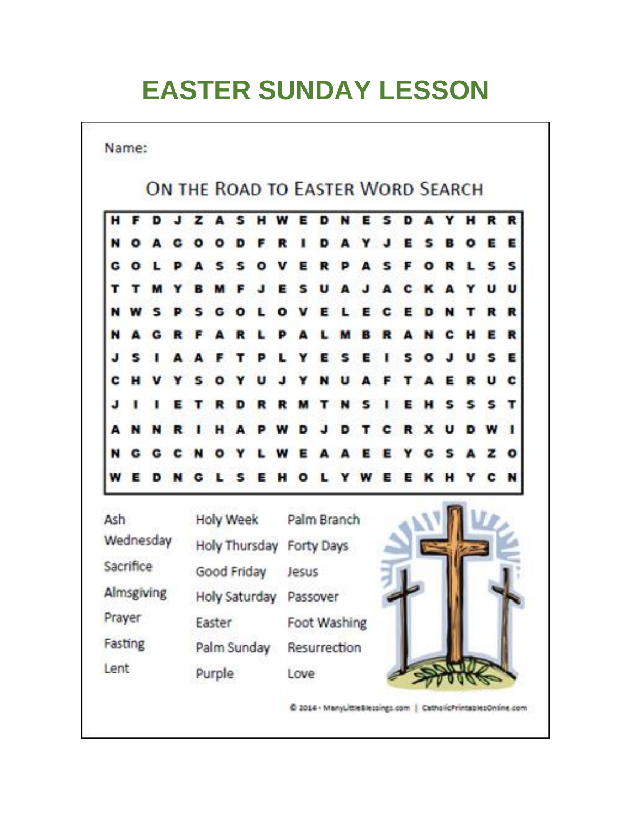# **EASTER SUNDAY LESSON**

Name:

## ON THE ROAD TO EASTER WORD SEARCH



**Holy Week** Ash Palm Branch Wednesday Holy Thursday Forty Days Sacrifice Good Friday Jesus Almsgiving Holy Saturday Passover Prayer Foot Washing Easter Fasting Palm Sunday Resurrection Lent Purple Love

C 2014 - ManyLittleSlessings.com | CatholicPrintablesOnline.com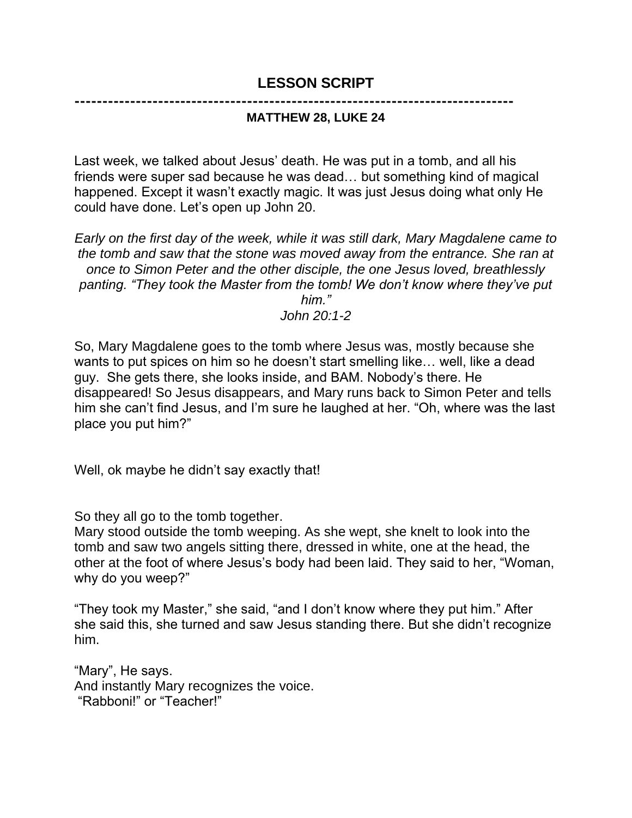### **LESSON SCRIPT**

**-------------------------------------------------------------------------------**

#### **MATTHEW 28, LUKE 24**

Last week, we talked about Jesus' death. He was put in a tomb, and all his friends were super sad because he was dead… but something kind of magical happened. Except it wasn't exactly magic. It was just Jesus doing what only He could have done. Let's open up John 20.

*Early on the first day of the week, while it was still dark, Mary Magdalene came to the tomb and saw that the stone was moved away from the entrance. She ran at once to Simon Peter and the other disciple, the one Jesus loved, breathlessly panting. "They took the Master from the tomb! We don't know where they've put him."*

*John 20:1-2*

So, Mary Magdalene goes to the tomb where Jesus was, mostly because she wants to put spices on him so he doesn't start smelling like… well, like a dead guy. She gets there, she looks inside, and BAM. Nobody's there. He disappeared! So Jesus disappears, and Mary runs back to Simon Peter and tells him she can't find Jesus, and I'm sure he laughed at her. "Oh, where was the last place you put him?"

Well, ok maybe he didn't say exactly that!

So they all go to the tomb together.

Mary stood outside the tomb weeping. As she wept, she knelt to look into the tomb and saw two angels sitting there, dressed in white, one at the head, the other at the foot of where Jesus's body had been laid. They said to her, "Woman, why do you weep?"

"They took my Master," she said, "and I don't know where they put him." After she said this, she turned and saw Jesus standing there. But she didn't recognize him.

"Mary", He says. And instantly Mary recognizes the voice. "Rabboni!" or "Teacher!"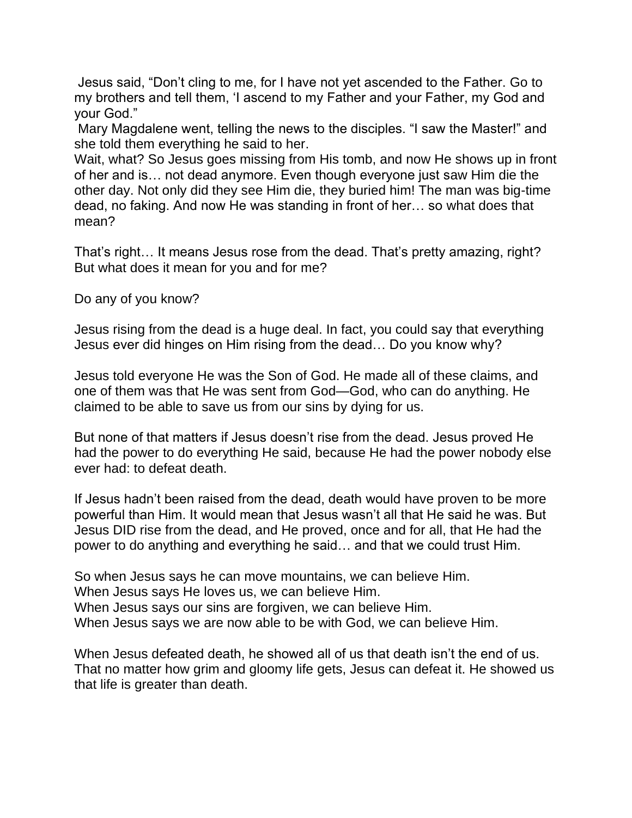Jesus said, "Don't cling to me, for I have not yet ascended to the Father. Go to my brothers and tell them, 'I ascend to my Father and your Father, my God and your God."

Mary Magdalene went, telling the news to the disciples. "I saw the Master!" and she told them everything he said to her.

Wait, what? So Jesus goes missing from His tomb, and now He shows up in front of her and is… not dead anymore. Even though everyone just saw Him die the other day. Not only did they see Him die, they buried him! The man was big-time dead, no faking. And now He was standing in front of her… so what does that mean?

That's right… It means Jesus rose from the dead. That's pretty amazing, right? But what does it mean for you and for me?

Do any of you know?

Jesus rising from the dead is a huge deal. In fact, you could say that everything Jesus ever did hinges on Him rising from the dead… Do you know why?

Jesus told everyone He was the Son of God. He made all of these claims, and one of them was that He was sent from God—God, who can do anything. He claimed to be able to save us from our sins by dying for us.

But none of that matters if Jesus doesn't rise from the dead. Jesus proved He had the power to do everything He said, because He had the power nobody else ever had: to defeat death.

If Jesus hadn't been raised from the dead, death would have proven to be more powerful than Him. It would mean that Jesus wasn't all that He said he was. But Jesus DID rise from the dead, and He proved, once and for all, that He had the power to do anything and everything he said… and that we could trust Him.

So when Jesus says he can move mountains, we can believe Him. When Jesus says He loves us, we can believe Him. When Jesus says our sins are forgiven, we can believe Him. When Jesus says we are now able to be with God, we can believe Him.

When Jesus defeated death, he showed all of us that death isn't the end of us. That no matter how grim and gloomy life gets, Jesus can defeat it. He showed us that life is greater than death.